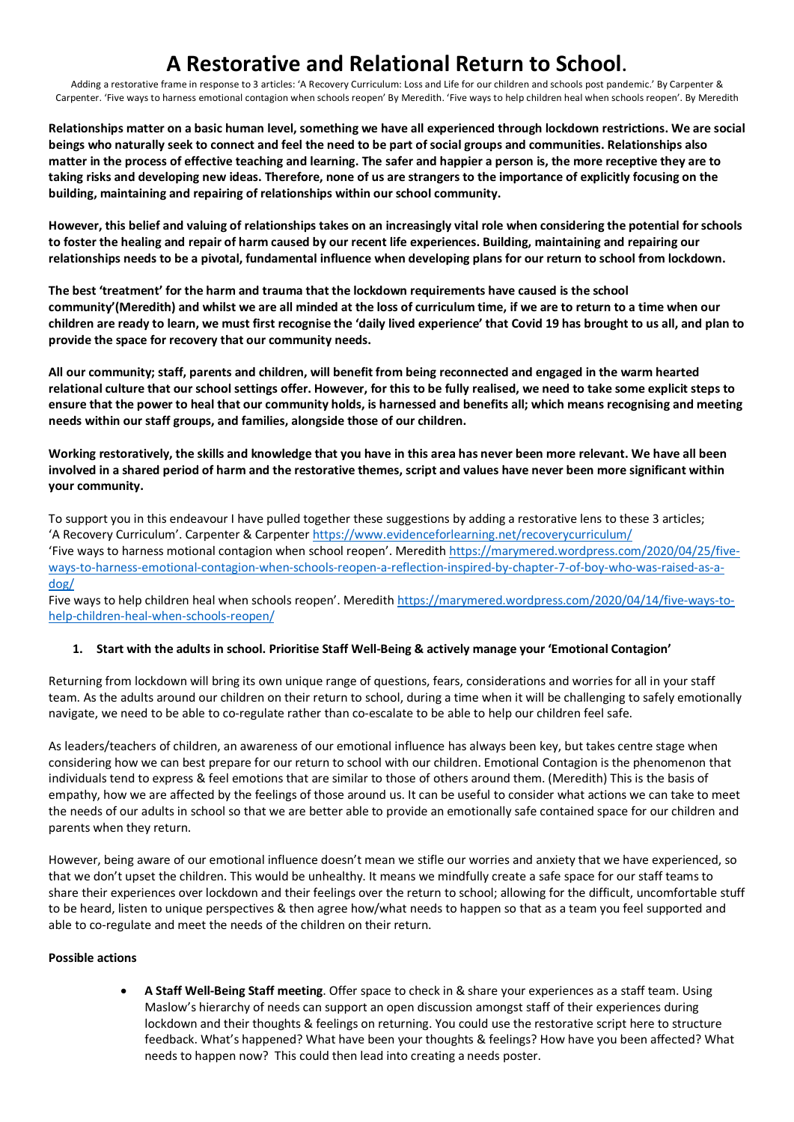Adding a restorative frame in response to 3 articles: 'A Recovery Curriculum: Loss and Life for our children and schools post pandemic.' By Carpenter & Carpenter. 'Five ways to harness emotional contagion when schools reopen' By Meredith. 'Five ways to help children heal when schools reopen'. By Meredith

**Relationships matter on a basic human level, something we have all experienced through lockdown restrictions. We are social beings who naturally seek to connect and feel the need to be part of social groups and communities. Relationships also matter in the process of effective teaching and learning. The safer and happier a person is, the more receptive they are to taking risks and developing new ideas. Therefore, none of us are strangers to the importance of explicitly focusing on the building, maintaining and repairing of relationships within our school community.** 

**However, this belief and valuing of relationships takes on an increasingly vital role when considering the potential for schools to foster the healing and repair of harm caused by our recent life experiences. Building, maintaining and repairing our relationships needs to be a pivotal, fundamental influence when developing plans for our return to school from lockdown.**

**The best 'treatment' for the harm and trauma that the lockdown requirements have caused is the school community'(Meredith) and whilst we are all minded at the loss of curriculum time, if we are to return to a time when our children are ready to learn, we must first recognise the 'daily lived experience' that Covid 19 has brought to us all, and plan to provide the space for recovery that our community needs.** 

**All our community; staff, parents and children, will benefit from being reconnected and engaged in the warm hearted relational culture that our school settings offer. However, for this to be fully realised, we need to take some explicit steps to ensure that the power to heal that our community holds, is harnessed and benefits all; which means recognising and meeting needs within our staff groups, and families, alongside those of our children.** 

**Working restoratively, the skills and knowledge that you have in this area has never been more relevant. We have all been involved in a shared period of harm and the restorative themes, script and values have never been more significant within your community.** 

To support you in this endeavour I have pulled together these suggestions by adding a restorative lens to these 3 articles; 'A Recovery Curriculum'. Carpenter & Carpenter https://www.evidenceforlearning.net/recoverycurriculum/ 'Five ways to harness motional contagion when school reopen'. Meredith https://marymered.wordpress.com/2020/04/25/fiveways-to-harness-emotional-contagion-when-schools-reopen-a-reflection-inspired-by-chapter-7-of-boy-who-was-raised-as-adog/

Five ways to help children heal when schools reopen'. Meredith https://marymered.wordpress.com/2020/04/14/five-ways-tohelp-children-heal-when-schools-reopen/

## **1. Start with the adults in school. Prioritise Staff Well-Being & actively manage your 'Emotional Contagion'**

Returning from lockdown will bring its own unique range of questions, fears, considerations and worries for all in your staff team. As the adults around our children on their return to school, during a time when it will be challenging to safely emotionally navigate, we need to be able to co-regulate rather than co-escalate to be able to help our children feel safe.

As leaders/teachers of children, an awareness of our emotional influence has always been key, but takes centre stage when considering how we can best prepare for our return to school with our children. Emotional Contagion is the phenomenon that individuals tend to express & feel emotions that are similar to those of others around them. (Meredith) This is the basis of empathy, how we are affected by the feelings of those around us. It can be useful to consider what actions we can take to meet the needs of our adults in school so that we are better able to provide an emotionally safe contained space for our children and parents when they return.

However, being aware of our emotional influence doesn't mean we stifle our worries and anxiety that we have experienced, so that we don't upset the children. This would be unhealthy. It means we mindfully create a safe space for our staff teams to share their experiences over lockdown and their feelings over the return to school; allowing for the difficult, uncomfortable stuff to be heard, listen to unique perspectives & then agree how/what needs to happen so that as a team you feel supported and able to co-regulate and meet the needs of the children on their return.

## **Possible actions**

• **A Staff Well-Being Staff meeting**. Offer space to check in & share your experiences as a staff team. Using Maslow's hierarchy of needs can support an open discussion amongst staff of their experiences during lockdown and their thoughts & feelings on returning. You could use the restorative script here to structure feedback. What's happened? What have been your thoughts & feelings? How have you been affected? What needs to happen now? This could then lead into creating a needs poster.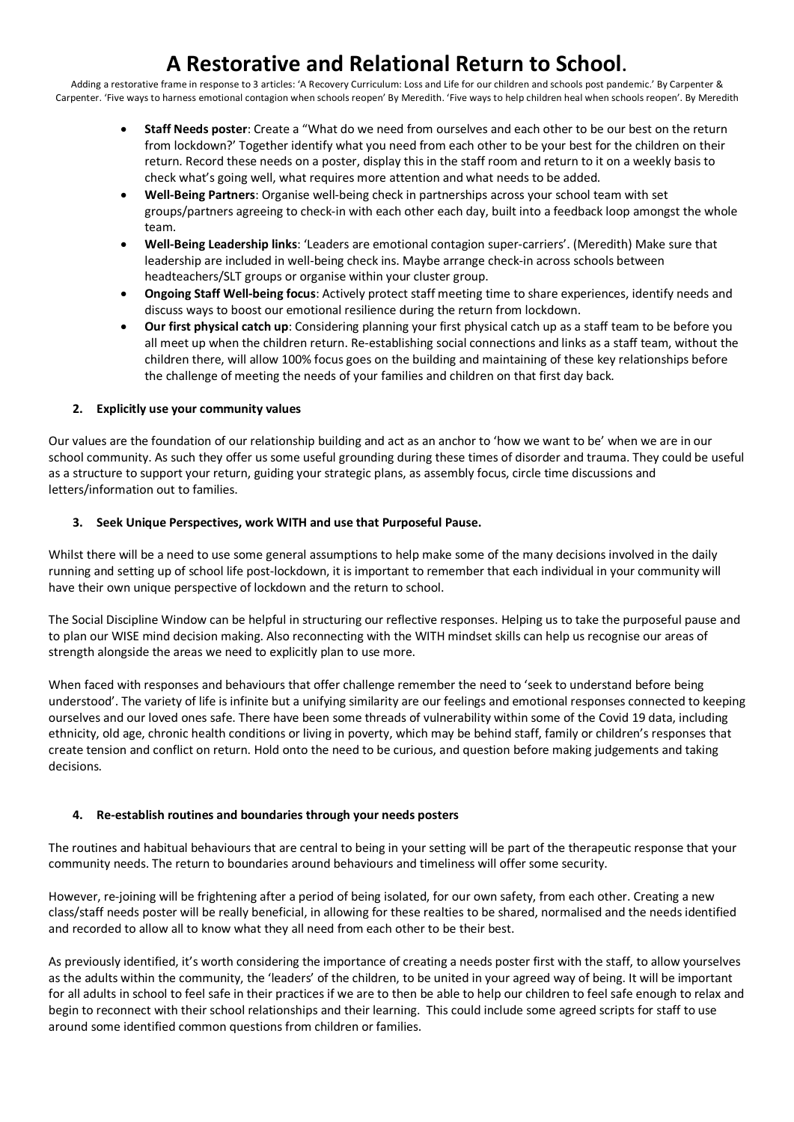Adding a restorative frame in response to 3 articles: 'A Recovery Curriculum: Loss and Life for our children and schools post pandemic.' By Carpenter & Carpenter. 'Five ways to harness emotional contagion when schools reopen' By Meredith. 'Five ways to help children heal when schools reopen'. By Meredith

- **Staff Needs poster**: Create a "What do we need from ourselves and each other to be our best on the return from lockdown?' Together identify what you need from each other to be your best for the children on their return. Record these needs on a poster, display this in the staff room and return to it on a weekly basis to check what's going well, what requires more attention and what needs to be added.
- **Well-Being Partners**: Organise well-being check in partnerships across your school team with set groups/partners agreeing to check-in with each other each day, built into a feedback loop amongst the whole team.
- **Well-Being Leadership links**: 'Leaders are emotional contagion super-carriers'. (Meredith) Make sure that leadership are included in well-being check ins. Maybe arrange check-in across schools between headteachers/SLT groups or organise within your cluster group.
- **Ongoing Staff Well-being focus**: Actively protect staff meeting time to share experiences, identify needs and discuss ways to boost our emotional resilience during the return from lockdown.
- **Our first physical catch up**: Considering planning your first physical catch up as a staff team to be before you all meet up when the children return. Re-establishing social connections and links as a staff team, without the children there, will allow 100% focus goes on the building and maintaining of these key relationships before the challenge of meeting the needs of your families and children on that first day back.

## **2. Explicitly use your community values**

Our values are the foundation of our relationship building and act as an anchor to 'how we want to be' when we are in our school community. As such they offer us some useful grounding during these times of disorder and trauma. They could be useful as a structure to support your return, guiding your strategic plans, as assembly focus, circle time discussions and letters/information out to families.

## **3. Seek Unique Perspectives, work WITH and use that Purposeful Pause.**

Whilst there will be a need to use some general assumptions to help make some of the many decisions involved in the daily running and setting up of school life post-lockdown, it is important to remember that each individual in your community will have their own unique perspective of lockdown and the return to school.

The Social Discipline Window can be helpful in structuring our reflective responses. Helping us to take the purposeful pause and to plan our WISE mind decision making. Also reconnecting with the WITH mindset skills can help us recognise our areas of strength alongside the areas we need to explicitly plan to use more.

When faced with responses and behaviours that offer challenge remember the need to 'seek to understand before being understood'. The variety of life is infinite but a unifying similarity are our feelings and emotional responses connected to keeping ourselves and our loved ones safe. There have been some threads of vulnerability within some of the Covid 19 data, including ethnicity, old age, chronic health conditions or living in poverty, which may be behind staff, family or children's responses that create tension and conflict on return. Hold onto the need to be curious, and question before making judgements and taking decisions.

## **4. Re-establish routines and boundaries through your needs posters**

The routines and habitual behaviours that are central to being in your setting will be part of the therapeutic response that your community needs. The return to boundaries around behaviours and timeliness will offer some security.

However, re-joining will be frightening after a period of being isolated, for our own safety, from each other. Creating a new class/staff needs poster will be really beneficial, in allowing for these realties to be shared, normalised and the needs identified and recorded to allow all to know what they all need from each other to be their best.

As previously identified, it's worth considering the importance of creating a needs poster first with the staff, to allow yourselves as the adults within the community, the 'leaders' of the children, to be united in your agreed way of being. It will be important for all adults in school to feel safe in their practices if we are to then be able to help our children to feel safe enough to relax and begin to reconnect with their school relationships and their learning. This could include some agreed scripts for staff to use around some identified common questions from children or families.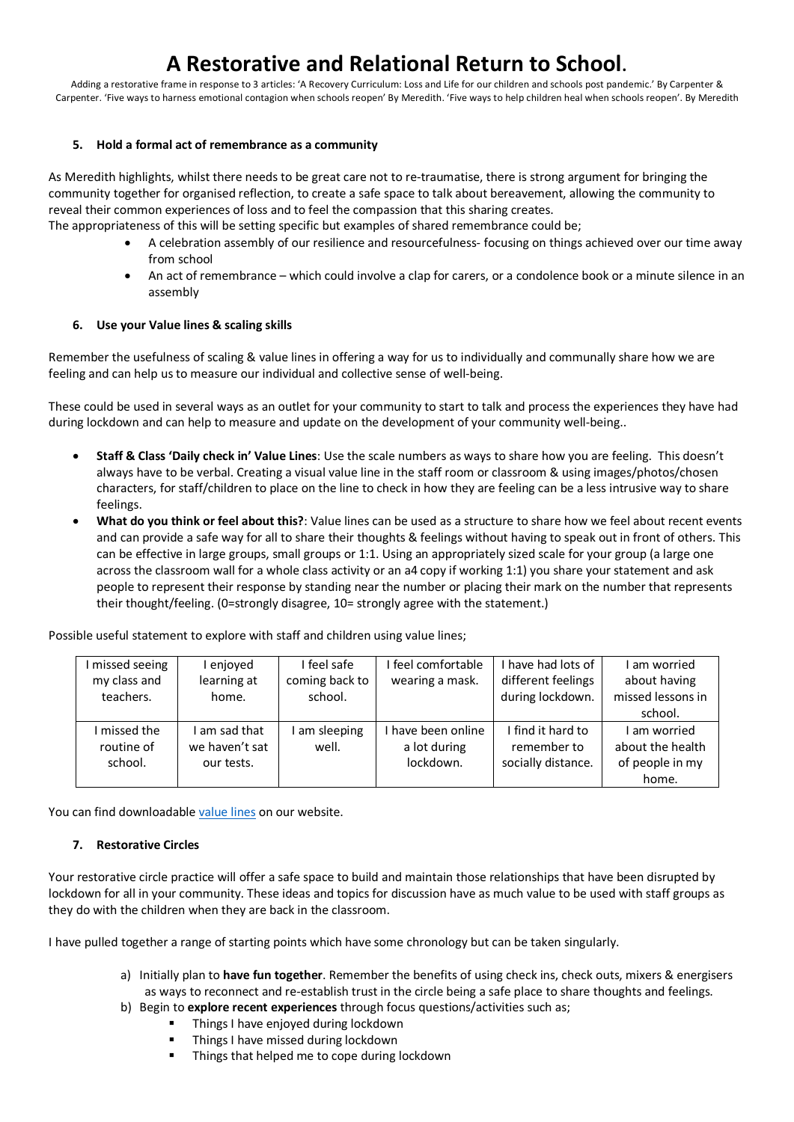Adding a restorative frame in response to 3 articles: 'A Recovery Curriculum: Loss and Life for our children and schools post pandemic.' By Carpenter & Carpenter. 'Five ways to harness emotional contagion when schools reopen' By Meredith. 'Five ways to help children heal when schools reopen'. By Meredith

#### **5. Hold a formal act of remembrance as a community**

As Meredith highlights, whilst there needs to be great care not to re-traumatise, there is strong argument for bringing the community together for organised reflection, to create a safe space to talk about bereavement, allowing the community to reveal their common experiences of loss and to feel the compassion that this sharing creates.

The appropriateness of this will be setting specific but examples of shared remembrance could be;

- A celebration assembly of our resilience and resourcefulness- focusing on things achieved over our time away from school
- An act of remembrance which could involve a clap for carers, or a condolence book or a minute silence in an assembly

#### **6. Use your Value lines & scaling skills**

Remember the usefulness of scaling & value lines in offering a way for us to individually and communally share how we are feeling and can help us to measure our individual and collective sense of well-being.

These could be used in several ways as an outlet for your community to start to talk and process the experiences they have had during lockdown and can help to measure and update on the development of your community well-being..

- **Staff & Class 'Daily check in' Value Lines**: Use the scale numbers as ways to share how you are feeling. This doesn't always have to be verbal. Creating a visual value line in the staff room or classroom & using images/photos/chosen characters, for staff/children to place on the line to check in how they are feeling can be a less intrusive way to share feelings.
- **What do you think or feel about this?**: Value lines can be used as a structure to share how we feel about recent events and can provide a safe way for all to share their thoughts & feelings without having to speak out in front of others. This can be effective in large groups, small groups or 1:1. Using an appropriately sized scale for your group (a large one across the classroom wall for a whole class activity or an a4 copy if working 1:1) you share your statement and ask people to represent their response by standing near the number or placing their mark on the number that represents their thought/feeling. (0=strongly disagree, 10= strongly agree with the statement.)

| missed seeing | enjoved        | I feel safe    | I feel comfortable | I have had lots of | am worried        |
|---------------|----------------|----------------|--------------------|--------------------|-------------------|
| my class and  | learning at    | coming back to | wearing a mask.    | different feelings | about having      |
| teachers.     | home.          | school.        |                    | during lockdown.   | missed lessons in |
|               |                |                |                    |                    | school.           |
| I missed the  | I am sad that  | am sleeping    | have been online   | I find it hard to  | am worried        |
| routine of    | we haven't sat | well.          | a lot during       | remember to        | about the health  |
| school.       | our tests.     |                | lockdown.          | socially distance. | of people in my   |
|               |                |                |                    |                    | home.             |

Possible useful statement to explore with staff and children using value lines;

You can find downloadable value lines on our website.

#### **7. Restorative Circles**

Your restorative circle practice will offer a safe space to build and maintain those relationships that have been disrupted by lockdown for all in your community. These ideas and topics for discussion have as much value to be used with staff groups as they do with the children when they are back in the classroom.

I have pulled together a range of starting points which have some chronology but can be taken singularly.

- a) Initially plan to **have fun together**. Remember the benefits of using check ins, check outs, mixers & energisers as ways to reconnect and re-establish trust in the circle being a safe place to share thoughts and feelings.
- b) Begin to **explore recent experiences** through focus questions/activities such as;
	- § Things I have enjoyed during lockdown
		- Things I have missed during lockdown
	- Things that helped me to cope during lockdown